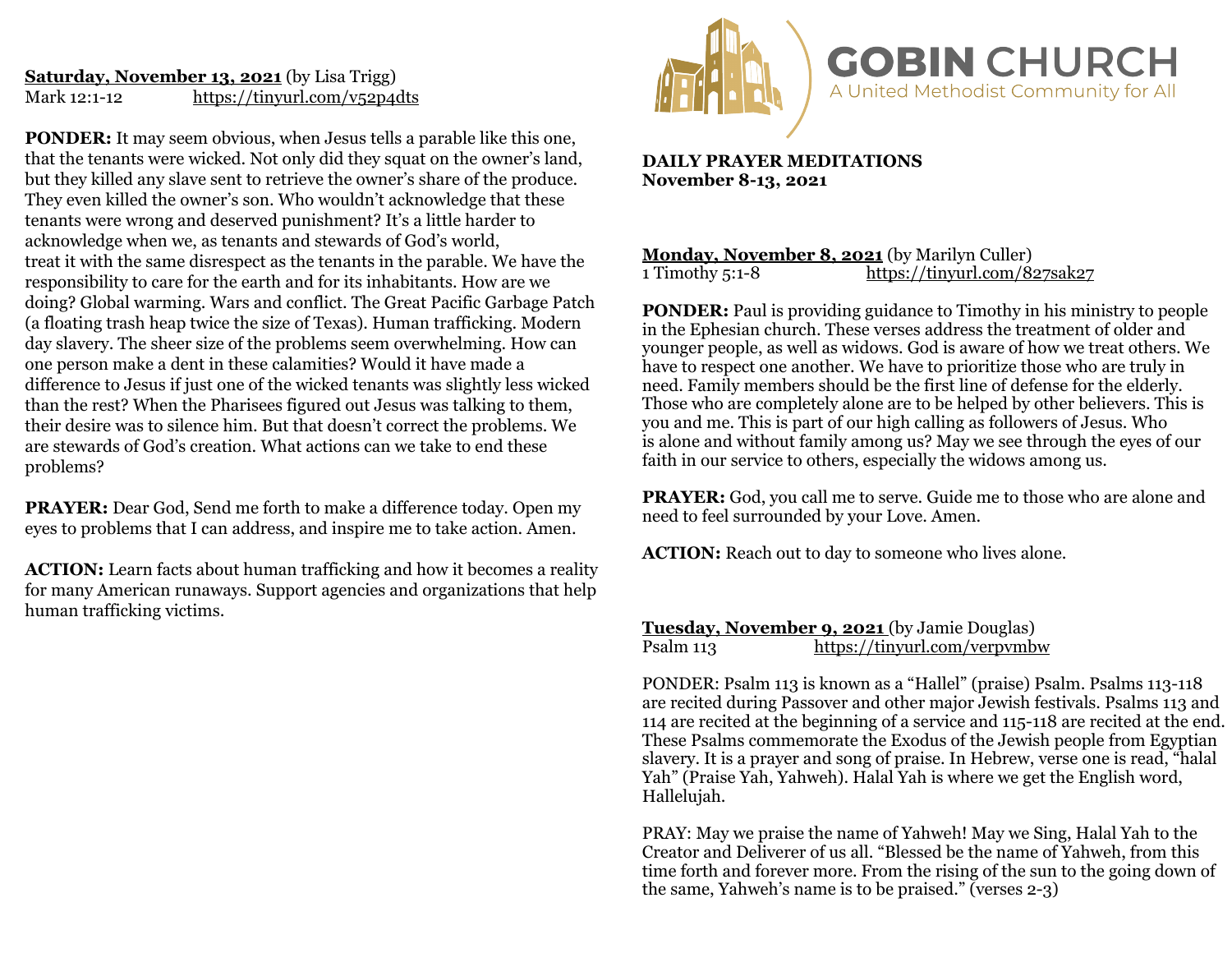# **Saturday, November 13, 2021** (by Lisa Trigg) Mark 12:1-12 <https://tinyurl.com/v52p4dts>

**PONDER:** It may seem obvious, when Jesus tells a parable like this one, that the tenants were wicked. Not only did they squat on the owner's land, but they killed any slave sent to retrieve the owner's share of the produce. They even killed the owner's son. Who wouldn't acknowledge that these tenants were wrong and deserved punishment? It's a little harder to acknowledge when we, as tenants and stewards of God's world, treat it with the same disrespect as the tenants in the parable. We have the responsibility to care for the earth and for its inhabitants. How are we doing? Global warming. Wars and conflict. The Great Pacific Garbage Patch (a floating trash heap twice the size of Texas). Human trafficking. Modern day slavery. The sheer size of the problems seem overwhelming. How can one person make a dent in these calamities? Would it have made a difference to Jesus if just one of the wicked tenants was slightly less wicked than the rest? When the Pharisees figured out Jesus was talking to them, their desire was to silence him. But that doesn't correct the problems. We are stewards of God's creation. What actions can we take to end these problems?

**PRAYER:** Dear God, Send me forth to make a difference today. Open my eyes to problems that I can address, and inspire me to take action. Amen.

**ACTION:** Learn facts about human trafficking and how it becomes a reality for many American runaways. Support agencies and organizations that help human trafficking victims.



**DAILY PRAYER MEDITATIONS November 8-13, 2021**

## **Monday, November 8, 2021** (by Marilyn Culler)<br>1 Timothy 5:1-8 https://tinyurl.com/8 <https://tinyurl.com/827sak27>

**PONDER:** Paul is providing guidance to Timothy in his ministry to people in the Ephesian church. These verses address the treatment of older and younger people, as well as widows. God is aware of how we treat others. We have to respect one another. We have to prioritize those who are truly in need. Family members should be the first line of defense for the elderly. Those who are completely alone are to be helped by other believers. This is you and me. This is part of our high calling as followers of Jesus. Who is alone and without family among us? May we see through the eyes of our faith in our service to others, especially the widows among us.

**PRAYER:** God, you call me to serve. Guide me to those who are alone and need to feel surrounded by your Love. Amen.

**ACTION:** Reach out to day to someone who lives alone.

### **Tuesday, November 9, 2021** (by Jamie Douglas)<br>Psalm 113 https://tinyurl.com/verpymb https://tinyurl.com/verpymbw

PONDER: Psalm 113 is known as a "Hallel" (praise) Psalm. Psalms 113-118 are recited during Passover and other major Jewish festivals. Psalms 113 and 114 are recited at the beginning of a service and 115-118 are recited at the end. These Psalms commemorate the Exodus of the Jewish people from Egyptian slavery. It is a prayer and song of praise. In Hebrew, verse one is read, "halal Yah" (Praise Yah, Yahweh). Halal Yah is where we get the English word, Hallelujah.

PRAY: May we praise the name of Yahweh! May we Sing, Halal Yah to the Creator and Deliverer of us all. "Blessed be the name of Yahweh, from this time forth and forever more. From the rising of the sun to the going down of the same, Yahweh's name is to be praised." (verses 2-3)